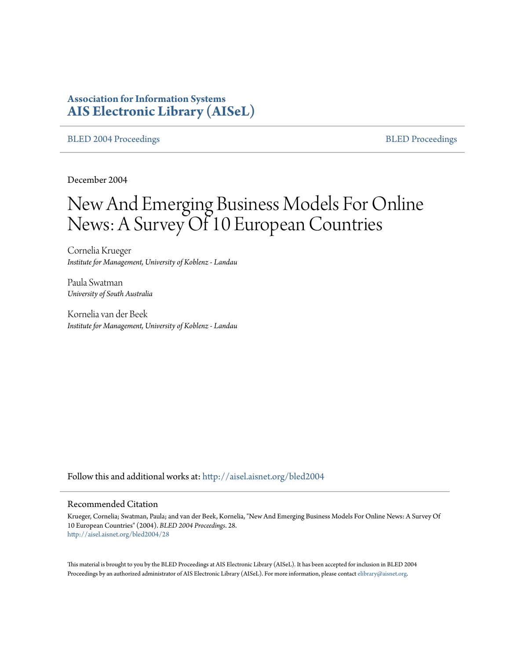# **Association for Information Systems [AIS Electronic Library \(AISeL\)](http://aisel.aisnet.org?utm_source=aisel.aisnet.org%2Fbled2004%2F28&utm_medium=PDF&utm_campaign=PDFCoverPages)**

#### [BLED 2004 Proceedings](http://aisel.aisnet.org/bled2004?utm_source=aisel.aisnet.org%2Fbled2004%2F28&utm_medium=PDF&utm_campaign=PDFCoverPages) and the state of the state of the [BLED Proceedings](http://aisel.aisnet.org/bled?utm_source=aisel.aisnet.org%2Fbled2004%2F28&utm_medium=PDF&utm_campaign=PDFCoverPages) and the BLED Proceedings and the BLED Proceedings and the BLED Proceedings and the BLED Proceedings and the BLED Proceedings and the BLED Proceedings

December 2004

# New And Emerging Business Models For Online News: A Survey Of 10 European Countries

Cornelia Krueger *Institute for Management, University of Koblenz - Landau*

Paula Swatman *University of South Australia*

Kornelia van der Beek *Institute for Management, University of Koblenz - Landau*

Follow this and additional works at: [http://aisel.aisnet.org/bled2004](http://aisel.aisnet.org/bled2004?utm_source=aisel.aisnet.org%2Fbled2004%2F28&utm_medium=PDF&utm_campaign=PDFCoverPages)

#### Recommended Citation

Krueger, Cornelia; Swatman, Paula; and van der Beek, Kornelia, "New And Emerging Business Models For Online News: A Survey Of 10 European Countries" (2004). *BLED 2004 Proceedings*. 28. [http://aisel.aisnet.org/bled2004/28](http://aisel.aisnet.org/bled2004/28?utm_source=aisel.aisnet.org%2Fbled2004%2F28&utm_medium=PDF&utm_campaign=PDFCoverPages)

This material is brought to you by the BLED Proceedings at AIS Electronic Library (AISeL). It has been accepted for inclusion in BLED 2004 Proceedings by an authorized administrator of AIS Electronic Library (AISeL). For more information, please contact [elibrary@aisnet.org](mailto:elibrary@aisnet.org%3E).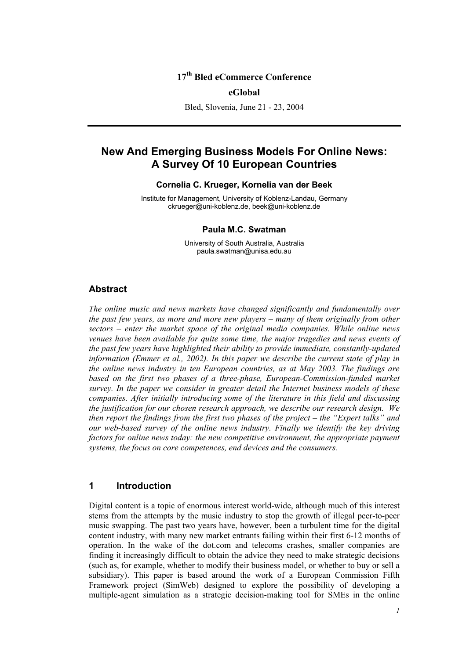# **17th Bled eCommerce Conference**

#### **eGlobal**

Bled, Slovenia, June 21 - 23, 2004

# **New And Emerging Business Models For Online News: A Survey Of 10 European Countries**

#### **Cornelia C. Krueger, Kornelia van der Beek**

Institute for Management, University of Koblenz-Landau, Germany ckrueger@uni-koblenz.de, beek@uni-koblenz.de

#### **Paula M.C. Swatman**

University of South Australia, Australia paula.swatman@unisa.edu.au

### **Abstract**

*The online music and news markets have changed significantly and fundamentally over the past few years, as more and more new players – many of them originally from other sectors – enter the market space of the original media companies. While online news venues have been available for quite some time, the major tragedies and news events of the past few years have highlighted their ability to provide immediate, constantly-updated information (Emmer et al., 2002). In this paper we describe the current state of play in the online news industry in ten European countries, as at May 2003. The findings are based on the first two phases of a three-phase, European-Commission-funded market survey. In the paper we consider in greater detail the Internet business models of these companies. After initially introducing some of the literature in this field and discussing the justification for our chosen research approach, we describe our research design. We then report the findings from the first two phases of the project – the "Expert talks" and our web-based survey of the online news industry. Finally we identify the key driving factors for online news today: the new competitive environment, the appropriate payment systems, the focus on core competences, end devices and the consumers.* 

#### **1 Introduction**

Digital content is a topic of enormous interest world-wide, although much of this interest stems from the attempts by the music industry to stop the growth of illegal peer-to-peer music swapping. The past two years have, however, been a turbulent time for the digital content industry, with many new market entrants failing within their first 6-12 months of operation. In the wake of the dot.com and telecoms crashes, smaller companies are finding it increasingly difficult to obtain the advice they need to make strategic decisions (such as, for example, whether to modify their business model, or whether to buy or sell a subsidiary). This paper is based around the work of a European Commission Fifth Framework project (SimWeb) designed to explore the possibility of developing a multiple-agent simulation as a strategic decision-making tool for SMEs in the online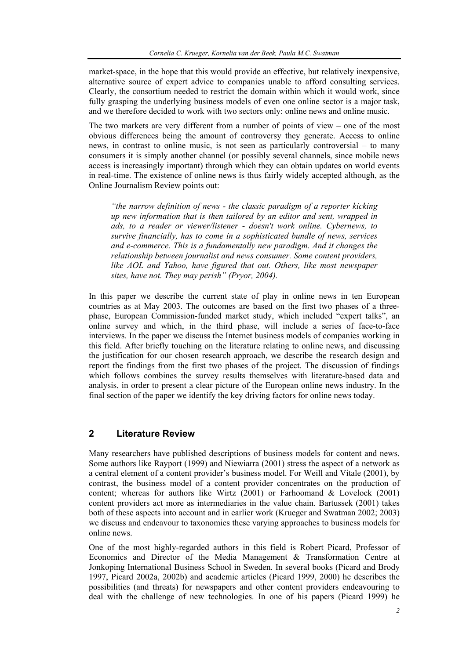market-space, in the hope that this would provide an effective, but relatively inexpensive, alternative source of expert advice to companies unable to afford consulting services. Clearly, the consortium needed to restrict the domain within which it would work, since fully grasping the underlying business models of even one online sector is a major task, and we therefore decided to work with two sectors only: online news and online music.

The two markets are very different from a number of points of view – one of the most obvious differences being the amount of controversy they generate. Access to online news, in contrast to online music, is not seen as particularly controversial – to many consumers it is simply another channel (or possibly several channels, since mobile news access is increasingly important) through which they can obtain updates on world events in real-time. The existence of online news is thus fairly widely accepted although, as the Online Journalism Review points out:

*"the narrow definition of news - the classic paradigm of a reporter kicking up new information that is then tailored by an editor and sent, wrapped in ads, to a reader or viewer/listener - doesn't work online. Cybernews, to survive financially, has to come in a sophisticated bundle of news, services and e-commerce. This is a fundamentally new paradigm. And it changes the relationship between journalist and news consumer. Some content providers, like AOL and Yahoo, have figured that out. Others, like most newspaper sites, have not. They may perish" (Pryor, 2004).* 

In this paper we describe the current state of play in online news in ten European countries as at May 2003. The outcomes are based on the first two phases of a threephase, European Commission-funded market study, which included "expert talks", an online survey and which, in the third phase, will include a series of face-to-face interviews. In the paper we discuss the Internet business models of companies working in this field. After briefly touching on the literature relating to online news, and discussing the justification for our chosen research approach, we describe the research design and report the findings from the first two phases of the project. The discussion of findings which follows combines the survey results themselves with literature-based data and analysis, in order to present a clear picture of the European online news industry. In the final section of the paper we identify the key driving factors for online news today.

#### **2 Literature Review**

Many researchers have published descriptions of business models for content and news. Some authors like Rayport (1999) and Niewiarra (2001) stress the aspect of a network as a central element of a content provider's business model. For Weill and Vitale (2001), by contrast, the business model of a content provider concentrates on the production of content; whereas for authors like Wirtz (2001) or Farhoomand & Lovelock (2001) content providers act more as intermediaries in the value chain. Bartussek (2001) takes both of these aspects into account and in earlier work (Krueger and Swatman 2002; 2003) we discuss and endeavour to taxonomies these varying approaches to business models for online news.

One of the most highly-regarded authors in this field is Robert Picard, Professor of Economics and Director of the Media Management & Transformation Centre at Jonkoping International Business School in Sweden. In several books (Picard and Brody 1997, Picard 2002a, 2002b) and academic articles (Picard 1999, 2000) he describes the possibilities (and threats) for newspapers and other content providers endeavouring to deal with the challenge of new technologies. In one of his papers (Picard 1999) he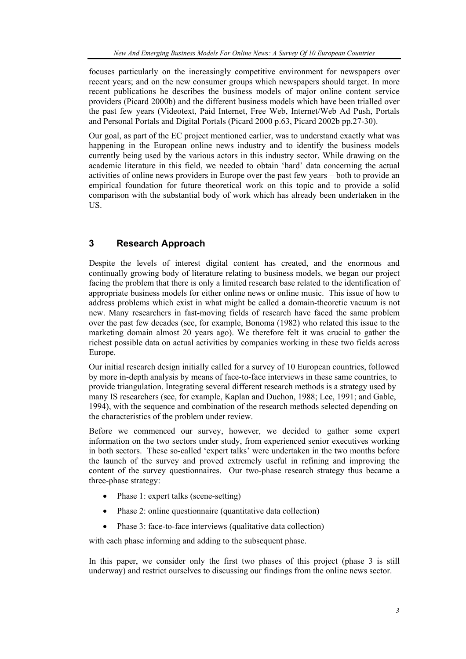focuses particularly on the increasingly competitive environment for newspapers over recent years; and on the new consumer groups which newspapers should target. In more recent publications he describes the business models of major online content service providers (Picard 2000b) and the different business models which have been trialled over the past few years (Videotext, Paid Internet, Free Web, Internet/Web Ad Push, Portals and Personal Portals and Digital Portals (Picard 2000 p.63, Picard 2002b pp.27-30).

Our goal, as part of the EC project mentioned earlier, was to understand exactly what was happening in the European online news industry and to identify the business models currently being used by the various actors in this industry sector. While drawing on the academic literature in this field, we needed to obtain 'hard' data concerning the actual activities of online news providers in Europe over the past few years – both to provide an empirical foundation for future theoretical work on this topic and to provide a solid comparison with the substantial body of work which has already been undertaken in the US.

# **3 Research Approach**

Despite the levels of interest digital content has created, and the enormous and continually growing body of literature relating to business models, we began our project facing the problem that there is only a limited research base related to the identification of appropriate business models for either online news or online music. This issue of how to address problems which exist in what might be called a domain-theoretic vacuum is not new. Many researchers in fast-moving fields of research have faced the same problem over the past few decades (see, for example, Bonoma (1982) who related this issue to the marketing domain almost 20 years ago). We therefore felt it was crucial to gather the richest possible data on actual activities by companies working in these two fields across Europe.

Our initial research design initially called for a survey of 10 European countries, followed by more in-depth analysis by means of face-to-face interviews in these same countries, to provide triangulation. Integrating several different research methods is a strategy used by many IS researchers (see, for example, Kaplan and Duchon, 1988; Lee, 1991; and Gable, 1994), with the sequence and combination of the research methods selected depending on the characteristics of the problem under review.

Before we commenced our survey, however, we decided to gather some expert information on the two sectors under study, from experienced senior executives working in both sectors. These so-called 'expert talks' were undertaken in the two months before the launch of the survey and proved extremely useful in refining and improving the content of the survey questionnaires. Our two-phase research strategy thus became a three-phase strategy:

- Phase 1: expert talks (scene-setting)
- Phase 2: online questionnaire (quantitative data collection)
- Phase 3: face-to-face interviews (qualitative data collection)

with each phase informing and adding to the subsequent phase.

In this paper, we consider only the first two phases of this project (phase 3 is still underway) and restrict ourselves to discussing our findings from the online news sector.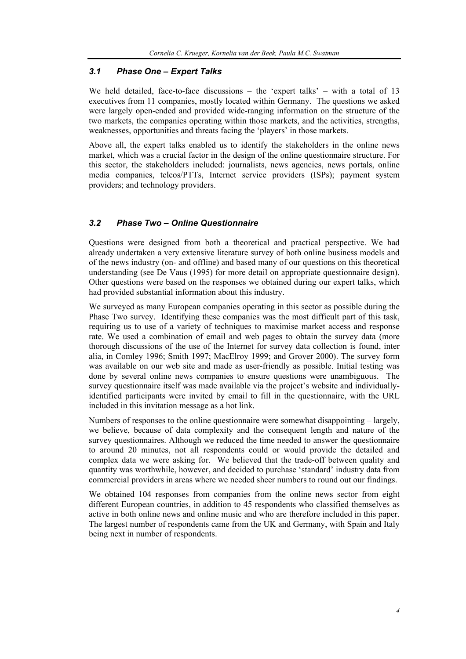#### *3.1 Phase One – Expert Talks*

We held detailed, face-to-face discussions – the 'expert talks' – with a total of 13 executives from 11 companies, mostly located within Germany. The questions we asked were largely open-ended and provided wide-ranging information on the structure of the two markets, the companies operating within those markets, and the activities, strengths, weaknesses, opportunities and threats facing the 'players' in those markets.

Above all, the expert talks enabled us to identify the stakeholders in the online news market, which was a crucial factor in the design of the online questionnaire structure. For this sector, the stakeholders included: journalists, news agencies, news portals, online media companies, telcos/PTTs, Internet service providers (ISPs); payment system providers; and technology providers.

#### *3.2 Phase Two – Online Questionnaire*

Questions were designed from both a theoretical and practical perspective. We had already undertaken a very extensive literature survey of both online business models and of the news industry (on- and offline) and based many of our questions on this theoretical understanding (see De Vaus (1995) for more detail on appropriate questionnaire design). Other questions were based on the responses we obtained during our expert talks, which had provided substantial information about this industry.

We surveyed as many European companies operating in this sector as possible during the Phase Two survey. Identifying these companies was the most difficult part of this task, requiring us to use of a variety of techniques to maximise market access and response rate. We used a combination of email and web pages to obtain the survey data (more thorough discussions of the use of the Internet for survey data collection is found, inter alia, in Comley 1996; Smith 1997; MacElroy 1999; and Grover 2000). The survey form was available on our web site and made as user-friendly as possible. Initial testing was done by several online news companies to ensure questions were unambiguous. The survey questionnaire itself was made available via the project's website and individuallyidentified participants were invited by email to fill in the questionnaire, with the URL included in this invitation message as a hot link.

Numbers of responses to the online questionnaire were somewhat disappointing – largely, we believe, because of data complexity and the consequent length and nature of the survey questionnaires. Although we reduced the time needed to answer the questionnaire to around 20 minutes, not all respondents could or would provide the detailed and complex data we were asking for. We believed that the trade-off between quality and quantity was worthwhile, however, and decided to purchase 'standard' industry data from commercial providers in areas where we needed sheer numbers to round out our findings.

We obtained 104 responses from companies from the online news sector from eight different European countries, in addition to 45 respondents who classified themselves as active in both online news and online music and who are therefore included in this paper. The largest number of respondents came from the UK and Germany, with Spain and Italy being next in number of respondents.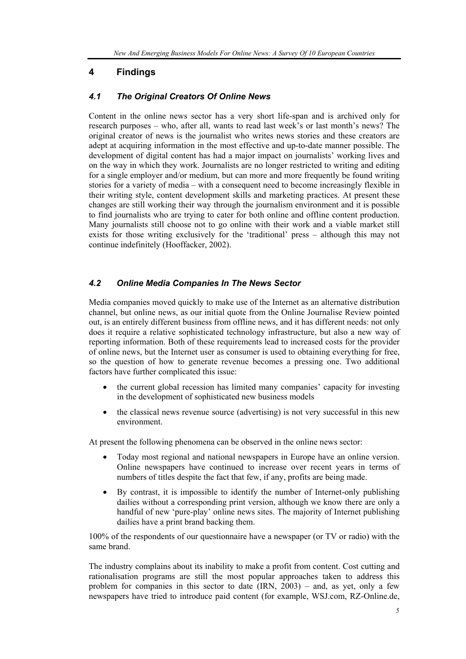# **4 Findings**

### *4.1 The Original Creators Of Online News*

Content in the online news sector has a very short life-span and is archived only for research purposes – who, after all, wants to read last week's or last month's news? The original creator of news is the journalist who writes news stories and these creators are adept at acquiring information in the most effective and up-to-date manner possible. The development of digital content has had a major impact on journalists' working lives and on the way in which they work. Journalists are no longer restricted to writing and editing for a single employer and/or medium, but can more and more frequently be found writing stories for a variety of media – with a consequent need to become increasingly flexible in their writing style, content development skills and marketing practices. At present these changes are still working their way through the journalism environment and it is possible to find journalists who are trying to cater for both online and offline content production. Many journalists still choose not to go online with their work and a viable market still exists for those writing exclusively for the 'traditional' press – although this may not continue indefinitely (Hooffacker, 2002).

## *4.2 Online Media Companies In The News Sector*

Media companies moved quickly to make use of the Internet as an alternative distribution channel, but online news, as our initial quote from the Online Journalise Review pointed out, is an entirely different business from offline news, and it has different needs: not only does it require a relative sophisticated technology infrastructure, but also a new way of reporting information. Both of these requirements lead to increased costs for the provider of online news, but the Internet user as consumer is used to obtaining everything for free, so the question of how to generate revenue becomes a pressing one. Two additional factors have further complicated this issue:

- the current global recession has limited many companies' capacity for investing in the development of sophisticated new business models
- the classical news revenue source (advertising) is not very successful in this new environment.

At present the following phenomena can be observed in the online news sector:

- Today most regional and national newspapers in Europe have an online version. Online newspapers have continued to increase over recent years in terms of numbers of titles despite the fact that few, if any, profits are being made.
- By contrast, it is impossible to identify the number of Internet-only publishing dailies without a corresponding print version, although we know there are only a handful of new 'pure-play' online news sites. The majority of Internet publishing dailies have a print brand backing them.

100% of the respondents of our questionnaire have a newspaper (or TV or radio) with the same brand.

The industry complains about its inability to make a profit from content. Cost cutting and rationalisation programs are still the most popular approaches taken to address this problem for companies in this sector to date (IRN, 2003) – and, as yet, only a few newspapers have tried to introduce paid content (for example, WSJ.com, RZ-Online.de,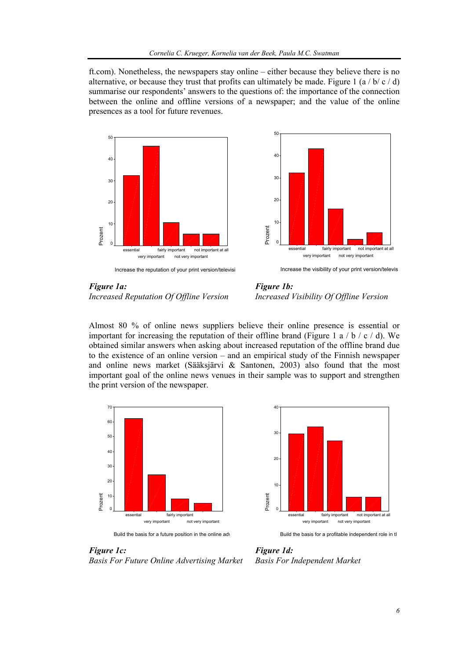ft.com). Nonetheless, the newspapers stay online – either because they believe there is no alternative, or because they trust that profits can ultimately be made. Figure 1 (a / b/ c / d) summarise our respondents' answers to the questions of: the importance of the connection between the online and offline versions of a newspaper; and the value of the online presences as a tool for future revenues.





*Figure 1a: Figure 1b: Increased Reputation Of Offline Version Increased Visibility Of Offline Version* 

Almost 80 % of online news suppliers believe their online presence is essential or important for increasing the reputation of their offline brand (Figure 1 a  $/$  b  $/$  c  $/$  d). We obtained similar answers when asking about increased reputation of the offline brand due to the existence of an online version – and an empirical study of the Finnish newspaper and online news market (Sääksjärvi & Santonen, 2003) also found that the most important goal of the online news venues in their sample was to support and strengthen the print version of the newspaper.





Build the basis for a profitable independent role in th

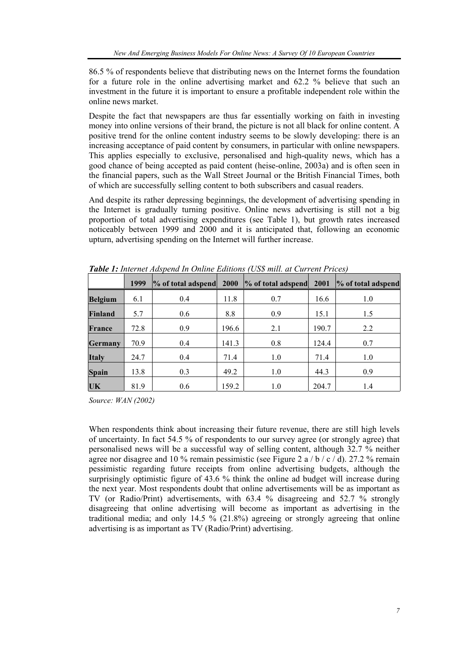86.5 % of respondents believe that distributing news on the Internet forms the foundation for a future role in the online advertising market and 62.2 % believe that such an investment in the future it is important to ensure a profitable independent role within the online news market.

Despite the fact that newspapers are thus far essentially working on faith in investing money into online versions of their brand, the picture is not all black for online content. A positive trend for the online content industry seems to be slowly developing: there is an increasing acceptance of paid content by consumers, in particular with online newspapers. This applies especially to exclusive, personalised and high-quality news, which has a good chance of being accepted as paid content (heise-online, 2003a) and is often seen in the financial papers, such as the Wall Street Journal or the British Financial Times, both of which are successfully selling content to both subscribers and casual readers.

And despite its rather depressing beginnings, the development of advertising spending in the Internet is gradually turning positive. Online news advertising is still not a big proportion of total advertising expenditures (see Table 1), but growth rates increased noticeably between 1999 and 2000 and it is anticipated that, following an economic upturn, advertising spending on the Internet will further increase.

|                | 1999 | % of total adspend | <b>2000</b> | % of total adspend | 2001  | % of total adspend |
|----------------|------|--------------------|-------------|--------------------|-------|--------------------|
| <b>Belgium</b> | 6.1  | 0.4                | 11.8        | 0.7                | 16.6  | 1.0                |
| <b>Finland</b> | 5.7  | 0.6                | 8.8         | 0.9                | 15.1  | 1.5                |
| <b>France</b>  | 72.8 | 0.9                | 196.6       | 2.1                | 190.7 | 2.2                |
| <b>Germany</b> | 70.9 | 0.4                | 141.3       | 0.8                | 124.4 | 0.7                |
| <b>Italy</b>   | 24.7 | 0.4                | 71.4        | 1.0                | 71.4  | 1.0                |
| <b>Spain</b>   | 13.8 | 0.3                | 49.2        | 1.0                | 44.3  | 0.9                |
| UK             | 81.9 | 0.6                | 159.2       | 1.0                | 204.7 | 1.4                |

*Table 1: Internet Adspend In Online Editions (US\$ mill. at Current Prices)* 

*Source: WAN (2002)* 

When respondents think about increasing their future revenue, there are still high levels of uncertainty. In fact 54.5 % of respondents to our survey agree (or strongly agree) that personalised news will be a successful way of selling content, although 32.7 % neither agree nor disagree and 10 % remain pessimistic (see Figure 2 a / b / c / d). 27.2 % remain pessimistic regarding future receipts from online advertising budgets, although the surprisingly optimistic figure of 43.6 % think the online ad budget will increase during the next year. Most respondents doubt that online advertisements will be as important as TV (or Radio/Print) advertisements, with 63.4 % disagreeing and 52.7 % strongly disagreeing that online advertising will become as important as advertising in the traditional media; and only 14.5 % (21.8%) agreeing or strongly agreeing that online advertising is as important as TV (Radio/Print) advertising.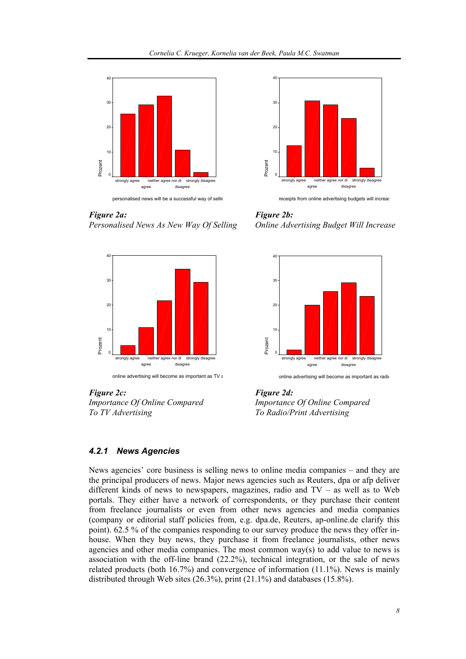

*Figure 2a: Figure 2b:* 





*Importance Of Online Compared Importance Of Online Compared To TV Advertising To Radio/Print Advertising* 



receipts from online advertising budgets will increas

*Personalised News As New Way Of Selling Online Advertising Budget Will Increase* 



online advertising will become as important as radio

#### *4.2.1 News Agencies*

News agencies' core business is selling news to online media companies – and they are the principal producers of news. Major news agencies such as Reuters, dpa or afp deliver different kinds of news to newspapers, magazines, radio and TV – as well as to Web portals. They either have a network of correspondents, or they purchase their content from freelance journalists or even from other news agencies and media companies (company or editorial staff policies from, e.g. dpa.de, Reuters, ap-online.de clarify this point). 62.5 % of the companies responding to our survey produce the news they offer inhouse. When they buy news, they purchase it from freelance journalists, other news agencies and other media companies. The most common  $way(s)$  to add value to news is association with the off-line brand (22.2%), technical integration, or the sale of news related products (both 16.7%) and convergence of information (11.1%). News is mainly distributed through Web sites (26.3%), print (21.1%) and databases (15.8%).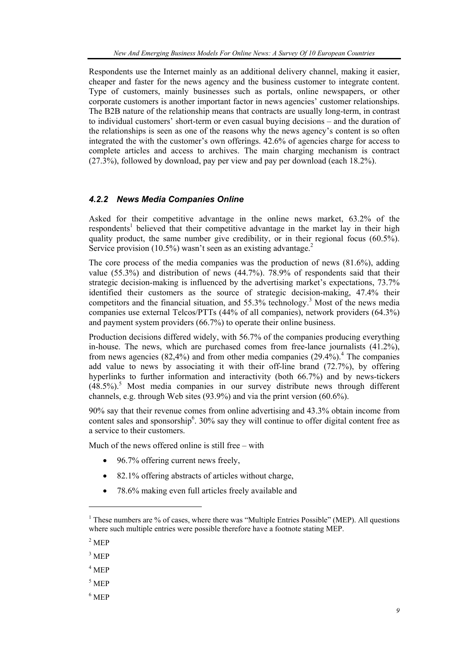Respondents use the Internet mainly as an additional delivery channel, making it easier, cheaper and faster for the news agency and the business customer to integrate content. Type of customers, mainly businesses such as portals, online newspapers, or other corporate customers is another important factor in news agencies' customer relationships. The B2B nature of the relationship means that contracts are usually long-term, in contrast to individual customers' short-term or even casual buying decisions – and the duration of the relationships is seen as one of the reasons why the news agency's content is so often integrated the with the customer's own offerings. 42.6% of agencies charge for access to complete articles and access to archives. The main charging mechanism is contract (27.3%), followed by download, pay per view and pay per download (each 18.2%).

#### *4.2.2 News Media Companies Online*

Asked for their competitive advantage in the online news market, 63.2% of the respondents<sup>1</sup> believed that their competitive advantage in the market lay in their high quality product, the same number give credibility, or in their regional focus (60.5%). Service provision (10.5%) wasn't seen as an existing advantage.<sup>2</sup>

The core process of the media companies was the production of news (81.6%), adding value (55.3%) and distribution of news (44.7%). 78.9% of respondents said that their strategic decision-making is influenced by the advertising market's expectations, 73.7% identified their customers as the source of strategic decision-making, 47.4% their competitors and the financial situation, and 55.3% technology.<sup>3</sup> Most of the news media companies use external Telcos/PTTs (44% of all companies), network providers (64.3%) and payment system providers (66.7%) to operate their online business.

Production decisions differed widely, with 56.7% of the companies producing everything in-house. The news, which are purchased comes from free-lance journalists (41.2%), from news agencies  $(82,4\%)$  and from other media companies  $(29.4\%)$ <sup>4</sup>. The companies add value to news by associating it with their off-line brand (72.7%), by offering hyperlinks to further information and interactivity (both 66.7%) and by news-tickers  $(48.5\%)$ <sup>5</sup> Most media companies in our survey distribute news through different channels, e.g. through Web sites (93.9%) and via the print version (60.6%).

90% say that their revenue comes from online advertising and 43.3% obtain income from content sales and sponsorship<sup>6</sup>. 30% say they will continue to offer digital content free as a service to their customers.

Much of the news offered online is still free – with

- 96.7% offering current news freely,
- 82.1% offering abstracts of articles without charge,
- 78.6% making even full articles freely available and

l

<sup>&</sup>lt;sup>1</sup> These numbers are % of cases, where there was "Multiple Entries Possible" (MEP). All questions where such multiple entries were possible therefore have a footnote stating MEP.

 $2$  MEP

 $3$  MEP

<sup>4</sup> MEP

<sup>5</sup> MEP

<sup>6</sup> MEP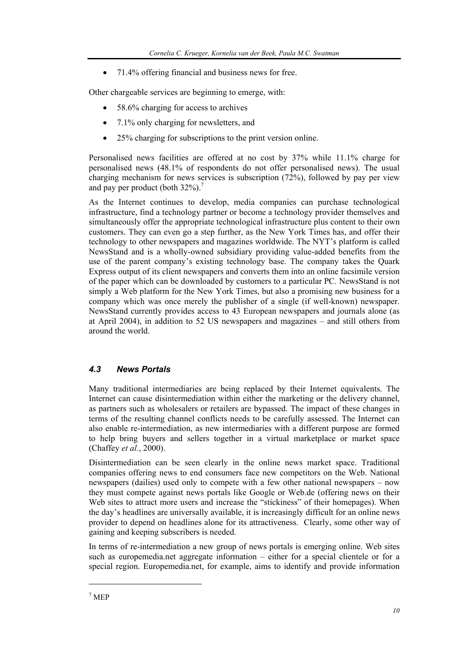• 71.4% offering financial and business news for free.

Other chargeable services are beginning to emerge, with:

- 58.6% charging for access to archives
- 7.1% only charging for newsletters, and
- 25% charging for subscriptions to the print version online.

Personalised news facilities are offered at no cost by 37% while 11.1% charge for personalised news (48.1% of respondents do not offer personalised news). The usual charging mechanism for news services is subscription (72%), followed by pay per view and pay per product (both  $32\%$ ).<sup>7</sup>

As the Internet continues to develop, media companies can purchase technological infrastructure, find a technology partner or become a technology provider themselves and simultaneously offer the appropriate technological infrastructure plus content to their own customers. They can even go a step further, as the New York Times has, and offer their technology to other newspapers and magazines worldwide. The NYT's platform is called NewsStand and is a wholly-owned subsidiary providing value-added benefits from the use of the parent company's existing technology base. The company takes the Quark Express output of its client newspapers and converts them into an online facsimile version of the paper which can be downloaded by customers to a particular PC. NewsStand is not simply a Web platform for the New York Times, but also a promising new business for a company which was once merely the publisher of a single (if well-known) newspaper. NewsStand currently provides access to 43 European newspapers and journals alone (as at April 2004), in addition to 52 US newspapers and magazines – and still others from around the world.

# *4.3 News Portals*

Many traditional intermediaries are being replaced by their Internet equivalents. The Internet can cause disintermediation within either the marketing or the delivery channel, as partners such as wholesalers or retailers are bypassed. The impact of these changes in terms of the resulting channel conflicts needs to be carefully assessed. The Internet can also enable re-intermediation, as new intermediaries with a different purpose are formed to help bring buyers and sellers together in a virtual marketplace or market space (Chaffey *et al.*, 2000).

Disintermediation can be seen clearly in the online news market space. Traditional companies offering news to end consumers face new competitors on the Web. National newspapers (dailies) used only to compete with a few other national newspapers – now they must compete against news portals like Google or Web.de (offering news on their Web sites to attract more users and increase the "stickiness" of their homepages). When the day's headlines are universally available, it is increasingly difficult for an online news provider to depend on headlines alone for its attractiveness. Clearly, some other way of gaining and keeping subscribers is needed.

In terms of re-intermediation a new group of news portals is emerging online. Web sites such as europemedia.net aggregate information – either for a special clientele or for a special region. Europemedia.net, for example, aims to identify and provide information

l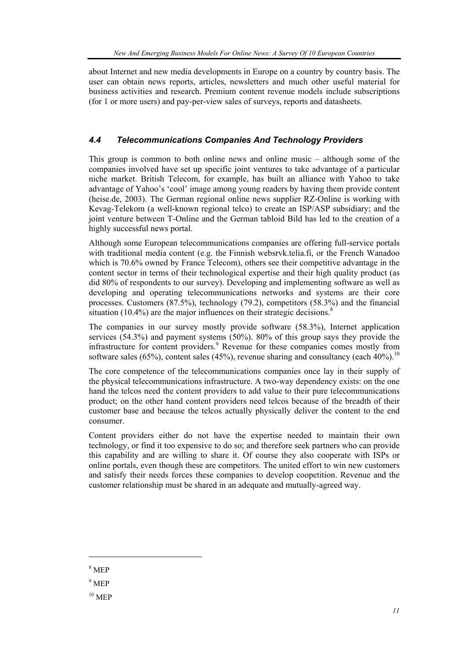about Internet and new media developments in Europe on a country by country basis. The user can obtain news reports, articles, newsletters and much other useful material for business activities and research. Premium content revenue models include subscriptions (for 1 or more users) and pay-per-view sales of surveys, reports and datasheets.

# *4.4 Telecommunications Companies And Technology Providers*

This group is common to both online news and online music – although some of the companies involved have set up specific joint ventures to take advantage of a particular niche market. British Telecom, for example, has built an alliance with Yahoo to take advantage of Yahoo's 'cool' image among young readers by having them provide content (heise.de, 2003). The German regional online news supplier RZ-Online is working with Kevag-Telekom (a well-known regional telco) to create an ISP/ASP subsidiary; and the joint venture between T-Online and the German tabloid Bild has led to the creation of a highly successful news portal.

Although some European telecommunications companies are offering full-service portals with traditional media content (e.g. the Finnish websrvk.telia.fi, or the French Wanadoo which is 70.6% owned by France Telecom), others see their competitive advantage in the content sector in terms of their technological expertise and their high quality product (as did 80% of respondents to our survey). Developing and implementing software as well as developing and operating telecommunications networks and systems are their core processes. Customers (87.5%), technology (79.2), competitors (58.3%) and the financial situation (10.4%) are the major influences on their strategic decisions.<sup>8</sup>

The companies in our survey mostly provide software (58.3%), Internet application services (54.3%) and payment systems (50%). 80% of this group says they provide the infrastructure for content providers.<sup>9</sup> Revenue for these companies comes mostly from software sales (65%), content sales (45%), revenue sharing and consultancy (each  $40\%$ ).<sup>10</sup>

The core competence of the telecommunications companies once lay in their supply of the physical telecommunications infrastructure. A two-way dependency exists: on the one hand the telcos need the content providers to add value to their pure telecommunications product; on the other hand content providers need telcos because of the breadth of their customer base and because the telcos actually physically deliver the content to the end consumer.

Content providers either do not have the expertise needed to maintain their own technology, or find it too expensive to do so; and therefore seek partners who can provide this capability and are willing to share it. Of course they also cooperate with ISPs or online portals, even though these are competitors. The united effort to win new customers and satisfy their needs forces these companies to develop coopetition. Revenue and the customer relationship must be shared in an adequate and mutually-agreed way.

8 MEP

 $\overline{\phantom{a}}$ 

- 9 MEP
- $10$  MFP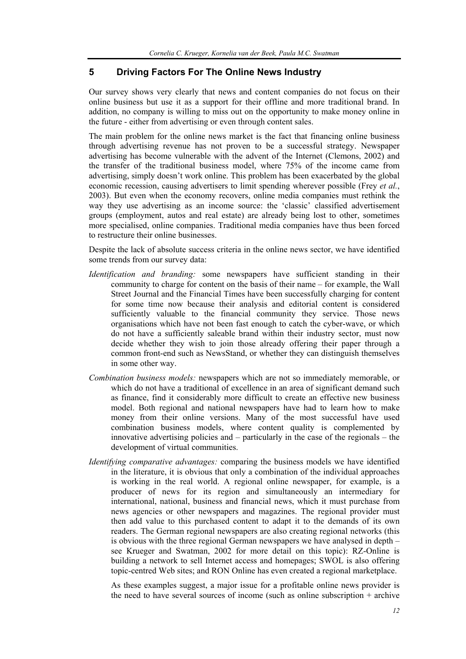#### **5 Driving Factors For The Online News Industry**

Our survey shows very clearly that news and content companies do not focus on their online business but use it as a support for their offline and more traditional brand. In addition, no company is willing to miss out on the opportunity to make money online in the future - either from advertising or even through content sales.

The main problem for the online news market is the fact that financing online business through advertising revenue has not proven to be a successful strategy. Newspaper advertising has become vulnerable with the advent of the Internet (Clemons, 2002) and the transfer of the traditional business model, where 75% of the income came from advertising, simply doesn't work online. This problem has been exacerbated by the global economic recession, causing advertisers to limit spending wherever possible (Frey *et al.*, 2003). But even when the economy recovers, online media companies must rethink the way they use advertising as an income source: the 'classic' classified advertisement groups (employment, autos and real estate) are already being lost to other, sometimes more specialised, online companies. Traditional media companies have thus been forced to restructure their online businesses.

Despite the lack of absolute success criteria in the online news sector, we have identified some trends from our survey data:

- *Identification and branding:* some newspapers have sufficient standing in their community to charge for content on the basis of their name – for example, the Wall Street Journal and the Financial Times have been successfully charging for content for some time now because their analysis and editorial content is considered sufficiently valuable to the financial community they service. Those news organisations which have not been fast enough to catch the cyber-wave, or which do not have a sufficiently saleable brand within their industry sector, must now decide whether they wish to join those already offering their paper through a common front-end such as NewsStand, or whether they can distinguish themselves in some other way.
- *Combination business models:* newspapers which are not so immediately memorable, or which do not have a traditional of excellence in an area of significant demand such as finance, find it considerably more difficult to create an effective new business model. Both regional and national newspapers have had to learn how to make money from their online versions. Many of the most successful have used combination business models, where content quality is complemented by innovative advertising policies and – particularly in the case of the regionals – the development of virtual communities.
- *Identifying comparative advantages:* comparing the business models we have identified in the literature, it is obvious that only a combination of the individual approaches is working in the real world. A regional online newspaper, for example, is a producer of news for its region and simultaneously an intermediary for international, national, business and financial news, which it must purchase from news agencies or other newspapers and magazines. The regional provider must then add value to this purchased content to adapt it to the demands of its own readers. The German regional newspapers are also creating regional networks (this is obvious with the three regional German newspapers we have analysed in depth – see Krueger and Swatman, 2002 for more detail on this topic): RZ-Online is building a network to sell Internet access and homepages; SWOL is also offering topic-centred Web sites; and RON Online has even created a regional marketplace.

As these examples suggest, a major issue for a profitable online news provider is the need to have several sources of income (such as online subscription + archive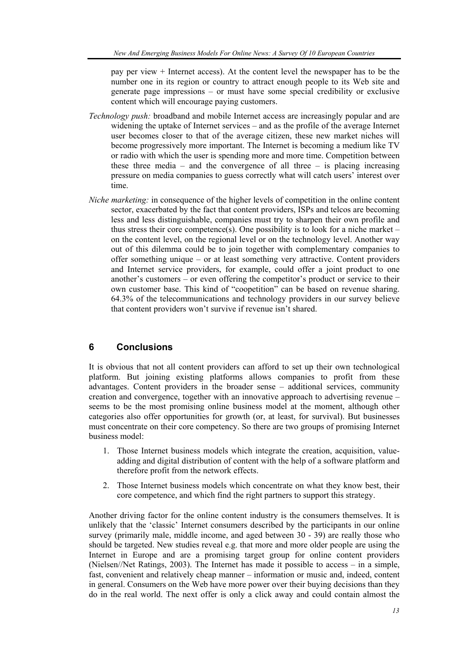pay per view + Internet access). At the content level the newspaper has to be the number one in its region or country to attract enough people to its Web site and generate page impressions – or must have some special credibility or exclusive content which will encourage paying customers.

- *Technology push:* broadband and mobile Internet access are increasingly popular and are widening the uptake of Internet services – and as the profile of the average Internet user becomes closer to that of the average citizen, these new market niches will become progressively more important. The Internet is becoming a medium like TV or radio with which the user is spending more and more time. Competition between these three media – and the convergence of all three – is placing increasing pressure on media companies to guess correctly what will catch users' interest over time.
- *Niche marketing:* in consequence of the higher levels of competition in the online content sector, exacerbated by the fact that content providers, ISPs and telcos are becoming less and less distinguishable, companies must try to sharpen their own profile and thus stress their core competence(s). One possibility is to look for a niche market – on the content level, on the regional level or on the technology level. Another way out of this dilemma could be to join together with complementary companies to offer something unique – or at least something very attractive. Content providers and Internet service providers, for example, could offer a joint product to one another's customers – or even offering the competitor's product or service to their own customer base. This kind of "coopetition" can be based on revenue sharing. 64.3% of the telecommunications and technology providers in our survey believe that content providers won't survive if revenue isn't shared.

#### **6 Conclusions**

It is obvious that not all content providers can afford to set up their own technological platform. But joining existing platforms allows companies to profit from these advantages. Content providers in the broader sense – additional services, community creation and convergence, together with an innovative approach to advertising revenue – seems to be the most promising online business model at the moment, although other categories also offer opportunities for growth (or, at least, for survival). But businesses must concentrate on their core competency. So there are two groups of promising Internet business model:

- 1. Those Internet business models which integrate the creation, acquisition, valueadding and digital distribution of content with the help of a software platform and therefore profit from the network effects.
- 2. Those Internet business models which concentrate on what they know best, their core competence, and which find the right partners to support this strategy.

Another driving factor for the online content industry is the consumers themselves. It is unlikely that the 'classic' Internet consumers described by the participants in our online survey (primarily male, middle income, and aged between 30 - 39) are really those who should be targeted. New studies reveal e.g. that more and more older people are using the Internet in Europe and are a promising target group for online content providers (Nielsen//Net Ratings, 2003). The Internet has made it possible to access – in a simple, fast, convenient and relatively cheap manner – information or music and, indeed, content in general. Consumers on the Web have more power over their buying decisions than they do in the real world. The next offer is only a click away and could contain almost the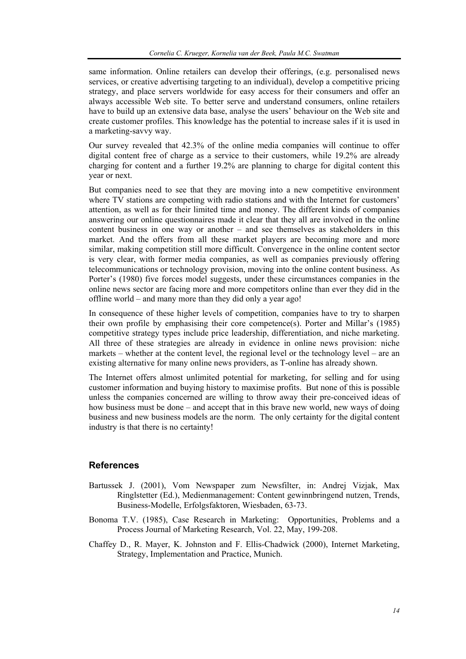same information. Online retailers can develop their offerings, (e.g. personalised news services, or creative advertising targeting to an individual), develop a competitive pricing strategy, and place servers worldwide for easy access for their consumers and offer an always accessible Web site. To better serve and understand consumers, online retailers have to build up an extensive data base, analyse the users' behaviour on the Web site and create customer profiles. This knowledge has the potential to increase sales if it is used in a marketing-savvy way.

Our survey revealed that 42.3% of the online media companies will continue to offer digital content free of charge as a service to their customers, while 19.2% are already charging for content and a further 19.2% are planning to charge for digital content this year or next.

But companies need to see that they are moving into a new competitive environment where TV stations are competing with radio stations and with the Internet for customers' attention, as well as for their limited time and money. The different kinds of companies answering our online questionnaires made it clear that they all are involved in the online content business in one way or another – and see themselves as stakeholders in this market. And the offers from all these market players are becoming more and more similar, making competition still more difficult. Convergence in the online content sector is very clear, with former media companies, as well as companies previously offering telecommunications or technology provision, moving into the online content business. As Porter's (1980) five forces model suggests, under these circumstances companies in the online news sector are facing more and more competitors online than ever they did in the offline world – and many more than they did only a year ago!

In consequence of these higher levels of competition, companies have to try to sharpen their own profile by emphasising their core competence(s). Porter and Millar's (1985) competitive strategy types include price leadership, differentiation, and niche marketing. All three of these strategies are already in evidence in online news provision: niche markets – whether at the content level, the regional level or the technology level – are an existing alternative for many online news providers, as T-online has already shown.

The Internet offers almost unlimited potential for marketing, for selling and for using customer information and buying history to maximise profits. But none of this is possible unless the companies concerned are willing to throw away their pre-conceived ideas of how business must be done – and accept that in this brave new world, new ways of doing business and new business models are the norm. The only certainty for the digital content industry is that there is no certainty!

#### **References**

- Bartussek J. (2001), Vom Newspaper zum Newsfilter, in: Andrej Vizjak, Max Ringlstetter (Ed.), Medienmanagement: Content gewinnbringend nutzen, Trends, Business-Modelle, Erfolgsfaktoren, Wiesbaden, 63-73.
- Bonoma T.V. (1985), Case Research in Marketing: Opportunities, Problems and a Process Journal of Marketing Research, Vol. 22, May, 199-208.
- Chaffey D., R. Mayer, K. Johnston and F. Ellis-Chadwick (2000), Internet Marketing, Strategy, Implementation and Practice, Munich.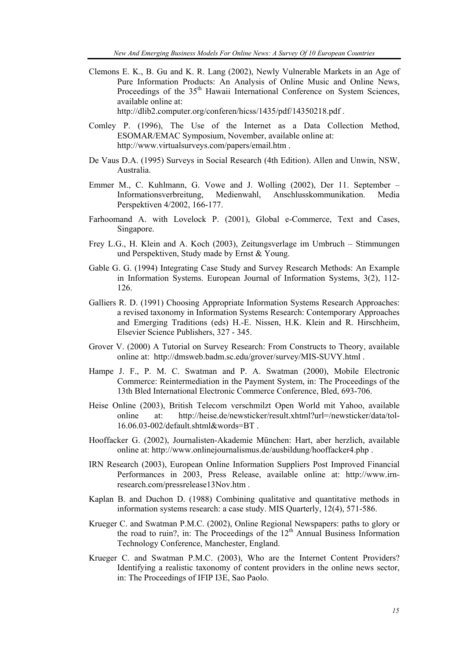Clemons E. K., B. Gu and K. R. Lang (2002), Newly Vulnerable Markets in an Age of Pure Information Products: An Analysis of Online Music and Online News, Proceedings of the 35<sup>th</sup> Hawaii International Conference on System Sciences, available online at:

http://dlib2.computer.org/conferen/hicss/1435/pdf/14350218.pdf .

- Comley P. (1996), The Use of the Internet as a Data Collection Method, ESOMAR/EMAC Symposium, November, available online at: http://www.virtualsurveys.com/papers/email.htm .
- De Vaus D.A. (1995) Surveys in Social Research (4th Edition). Allen and Unwin, NSW, Australia.
- Emmer M., C. Kuhlmann, G. Vowe and J. Wolling (2002), Der 11. September Informationsverbreitung, Medienwahl, Anschlusskommunikation. Media Perspektiven 4/2002, 166-177.
- Farhoomand A. with Lovelock P. (2001), Global e-Commerce, Text and Cases, Singapore.
- Frey L.G., H. Klein and A. Koch (2003), Zeitungsverlage im Umbruch Stimmungen und Perspektiven, Study made by Ernst & Young.
- Gable G. G. (1994) Integrating Case Study and Survey Research Methods: An Example in Information Systems. European Journal of Information Systems, 3(2), 112- 126.
- Galliers R. D. (1991) Choosing Appropriate Information Systems Research Approaches: a revised taxonomy in Information Systems Research: Contemporary Approaches and Emerging Traditions (eds) H.-E. Nissen, H.K. Klein and R. Hirschheim, Elsevier Science Publishers, 327 - 345.
- Grover V. (2000) A Tutorial on Survey Research: From Constructs to Theory, available online at: http://dmsweb.badm.sc.edu/grover/survey/MIS-SUVY.html .
- Hampe J. F., P. M. C. Swatman and P. A. Swatman (2000), Mobile Electronic Commerce: Reintermediation in the Payment System, in: The Proceedings of the 13th Bled International Electronic Commerce Conference, Bled, 693-706.
- Heise Online (2003), British Telecom verschmilzt Open World mit Yahoo, available online at: http://heise.de/newsticker/result.xhtml?url=/newsticker/data/tol-16.06.03-002/default.shtml&words=BT .
- Hooffacker G. (2002), Journalisten-Akademie München: Hart, aber herzlich, available online at: http://www.onlinejournalismus.de/ausbildung/hooffacker4.php .
- IRN Research (2003), European Online Information Suppliers Post Improved Financial Performances in 2003, Press Release, available online at: http://www.irnresearch.com/pressrelease13Nov.htm .
- Kaplan B. and Duchon D. (1988) Combining qualitative and quantitative methods in information systems research: a case study. MIS Quarterly, 12(4), 571-586.
- Krueger C. and Swatman P.M.C. (2002), Online Regional Newspapers: paths to glory or the road to ruin?, in: The Proceedings of the  $12<sup>th</sup>$  Annual Business Information Technology Conference, Manchester, England.
- Krueger C. and Swatman P.M.C. (2003), Who are the Internet Content Providers? Identifying a realistic taxonomy of content providers in the online news sector, in: The Proceedings of IFIP I3E, Sao Paolo.